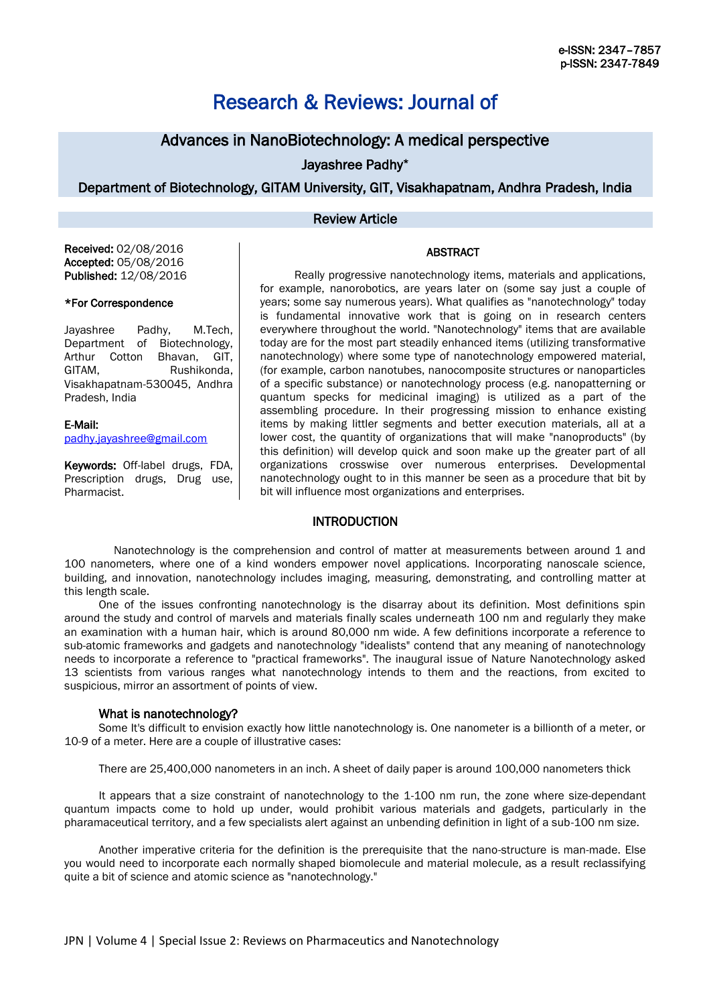# Research & Reviews: Journal of

# Advances in NanoBiotechnology: A medical perspective

Jayashree Padhy\*

Department of Biotechnology, GITAM University, GIT, Visakhapatnam, Andhra Pradesh, India

### Review Article

#### Received: 02/08/2016 Accepted: 05/08/2016 Published: 12/08/2016

## \*For Correspondence

Jayashree Padhy, M.Tech, Department of Biotechnology, Arthur Cotton Bhavan, GIT, GITAM, Rushikonda, Visakhapatnam-530045, Andhra Pradesh, India

E-Mail: padhy.jayashree@gmail.com

Keywords: Off-label drugs, FDA, Prescription drugs, Drug use, Pharmacist.

Really progressive nanotechnology items, materials and applications, for example, nanorobotics, are years later on (some say just a couple of years; some say numerous years). What qualifies as "nanotechnology" today is fundamental innovative work that is going on in research centers everywhere throughout the world. "Nanotechnology" items that are available today are for the most part steadily enhanced items (utilizing transformative nanotechnology) where some type of nanotechnology empowered material, (for example, carbon nanotubes, nanocomposite structures or nanoparticles of a specific substance) or nanotechnology process (e.g. nanopatterning or quantum specks for medicinal imaging) is utilized as a part of the assembling procedure. In their progressing mission to enhance existing items by making littler segments and better execution materials, all at a lower cost, the quantity of organizations that will make "nanoproducts" (by this definition) will develop quick and soon make up the greater part of all organizations crosswise over numerous enterprises. Developmental nanotechnology ought to in this manner be seen as a procedure that bit by bit will influence most organizations and enterprises.

## **INTRODUCTION**

 Nanotechnology is the comprehension and control of matter at measurements between around 1 and 100 nanometers, where one of a kind wonders empower novel applications. Incorporating nanoscale science, building, and innovation, nanotechnology includes imaging, measuring, demonstrating, and controlling matter at this length scale.

One of the issues confronting nanotechnology is the disarray about its definition. Most definitions spin around the study and control of marvels and materials finally scales underneath 100 nm and regularly they make an examination with a human hair, which is around 80,000 nm wide. A few definitions incorporate a reference to sub-atomic frameworks and gadgets and nanotechnology "idealists" contend that any meaning of nanotechnology needs to incorporate a reference to "practical frameworks". The inaugural issue of Nature Nanotechnology asked 13 scientists from various ranges what nanotechnology intends to them and the reactions, from excited to suspicious, mirror an assortment of points of view.

#### What is nanotechnology?

Some It's difficult to envision exactly how little nanotechnology is. One nanometer is a billionth of a meter, or 10-9 of a meter. Here are a couple of illustrative cases:

There are 25,400,000 nanometers in an inch. A sheet of daily paper is around 100,000 nanometers thick

It appears that a size constraint of nanotechnology to the 1-100 nm run, the zone where size-dependant quantum impacts come to hold up under, would prohibit various materials and gadgets, particularly in the pharamaceutical territory, and a few specialists alert against an unbending definition in light of a sub-100 nm size.

Another imperative criteria for the definition is the prerequisite that the nano-structure is man-made. Else you would need to incorporate each normally shaped biomolecule and material molecule, as a result reclassifying quite a bit of science and atomic science as "nanotechnology."

# ABSTRACT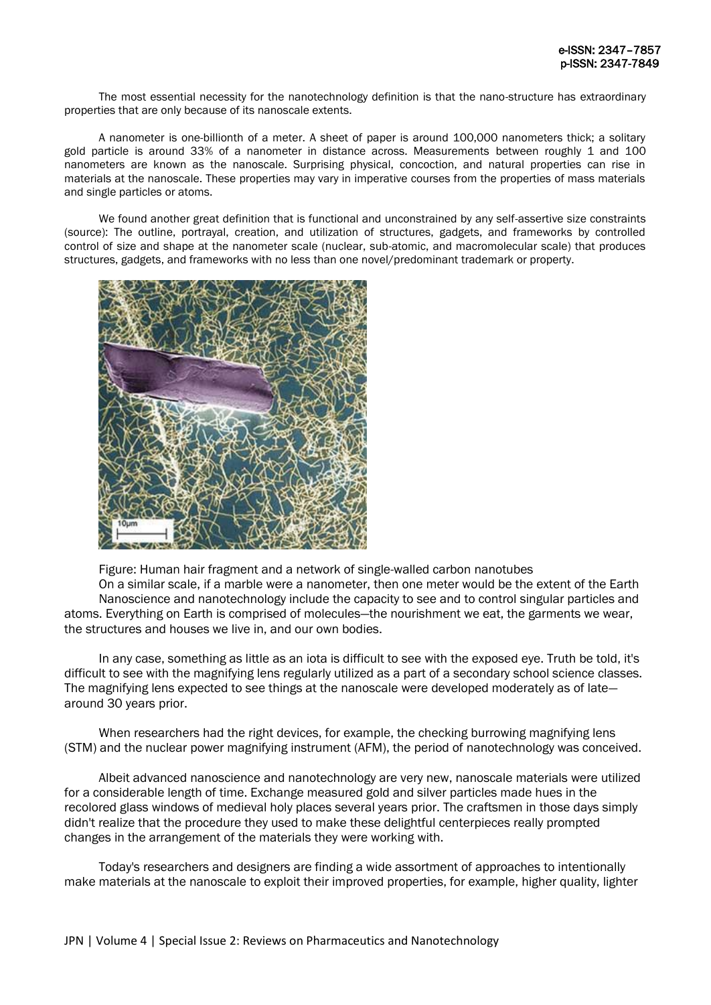The most essential necessity for the nanotechnology definition is that the nano-structure has extraordinary properties that are only because of its nanoscale extents.

A nanometer is one-billionth of a meter. A sheet of paper is around 100,000 nanometers thick; a solitary gold particle is around 33% of a nanometer in distance across. Measurements between roughly 1 and 100 nanometers are known as the nanoscale. Surprising physical, concoction, and natural properties can rise in materials at the nanoscale. These properties may vary in imperative courses from the properties of mass materials and single particles or atoms.

We found another great definition that is functional and unconstrained by any self-assertive size constraints (source): The outline, portrayal, creation, and utilization of structures, gadgets, and frameworks by controlled control of size and shape at the nanometer scale (nuclear, sub-atomic, and macromolecular scale) that produces structures, gadgets, and frameworks with no less than one novel/predominant trademark or property.



Figure: Human hair fragment and a network of single-walled carbon nanotubes

On a similar scale, if a marble were a nanometer, then one meter would be the extent of the Earth Nanoscience and nanotechnology include the capacity to see and to control singular particles and atoms. Everything on Earth is comprised of molecules—the nourishment we eat, the garments we wear, the structures and houses we live in, and our own bodies.

In any case, something as little as an iota is difficult to see with the exposed eye. Truth be told, it's difficult to see with the magnifying lens regularly utilized as a part of a secondary school science classes. The magnifying lens expected to see things at the nanoscale were developed moderately as of late around 30 years prior.

When researchers had the right devices, for example, the checking burrowing magnifying lens (STM) and the nuclear power magnifying instrument (AFM), the period of nanotechnology was conceived.

Albeit advanced nanoscience and nanotechnology are very new, nanoscale materials were utilized for a considerable length of time. Exchange measured gold and silver particles made hues in the recolored glass windows of medieval holy places several years prior. The craftsmen in those days simply didn't realize that the procedure they used to make these delightful centerpieces really prompted changes in the arrangement of the materials they were working with.

Today's researchers and designers are finding a wide assortment of approaches to intentionally make materials at the nanoscale to exploit their improved properties, for example, higher quality, lighter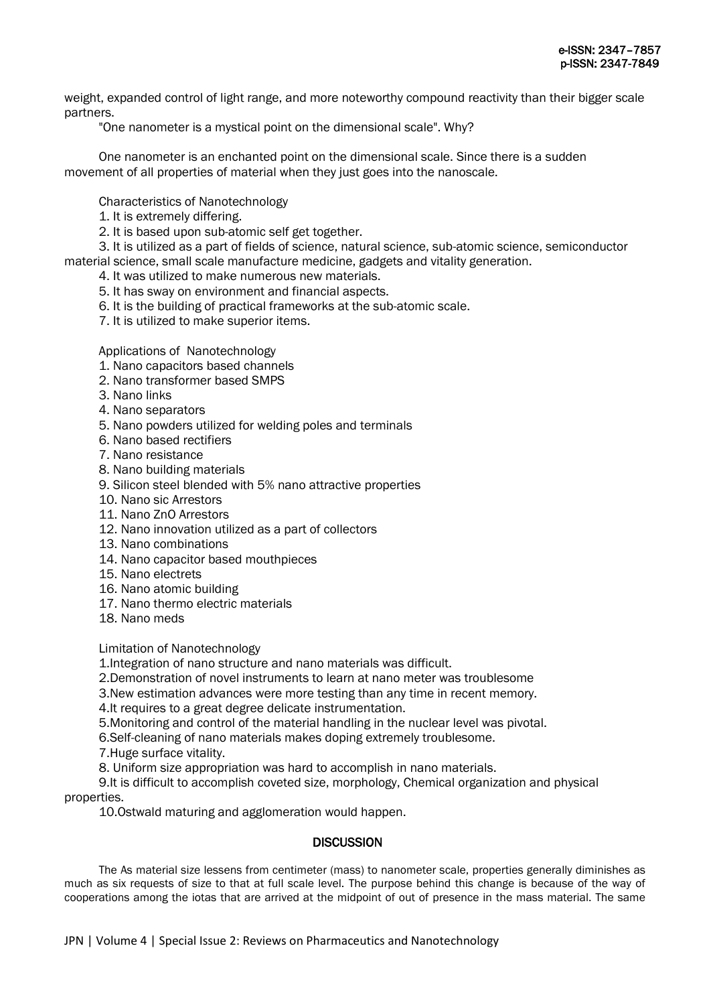weight, expanded control of light range, and more noteworthy compound reactivity than their bigger scale partners.

"One nanometer is a mystical point on the dimensional scale". Why?

One nanometer is an enchanted point on the dimensional scale. Since there is a sudden movement of all properties of material when they just goes into the nanoscale.

Characteristics of Nanotechnology

- 1. It is extremely differing.
- 2. It is based upon sub-atomic self get together.

3. It is utilized as a part of fields of science, natural science, sub-atomic science, semiconductor material science, small scale manufacture medicine, gadgets and vitality generation.

- 4. It was utilized to make numerous new materials.
- 5. It has sway on environment and financial aspects.
- 6. It is the building of practical frameworks at the sub-atomic scale.
- 7. It is utilized to make superior items.

Applications of Nanotechnology

- 1. Nano capacitors based channels
- 2. Nano transformer based SMPS
- 3. Nano links
- 4. Nano separators
- 5. Nano powders utilized for welding poles and terminals
- 6. Nano based rectifiers
- 7. Nano resistance
- 8. Nano building materials
- 9. Silicon steel blended with 5% nano attractive properties
- 10. Nano sic Arrestors
- 11. Nano ZnO Arrestors
- 12. Nano innovation utilized as a part of collectors
- 13. Nano combinations
- 14. Nano capacitor based mouthpieces
- 15. Nano electrets
- 16. Nano atomic building
- 17. Nano thermo electric materials
- 18. Nano meds

Limitation of Nanotechnology

1.Integration of nano structure and nano materials was difficult.

2.Demonstration of novel instruments to learn at nano meter was troublesome

3.New estimation advances were more testing than any time in recent memory.

4.It requires to a great degree delicate instrumentation.

5.Monitoring and control of the material handling in the nuclear level was pivotal.

6.Self-cleaning of nano materials makes doping extremely troublesome.

7.Huge surface vitality.

8. Uniform size appropriation was hard to accomplish in nano materials.

9.It is difficult to accomplish coveted size, morphology, Chemical organization and physical properties.

10.Ostwald maturing and agglomeration would happen.

# **DISCUSSION**

The As material size lessens from centimeter (mass) to nanometer scale, properties generally diminishes as much as six requests of size to that at full scale level. The purpose behind this change is because of the way of cooperations among the iotas that are arrived at the midpoint of out of presence in the mass material. The same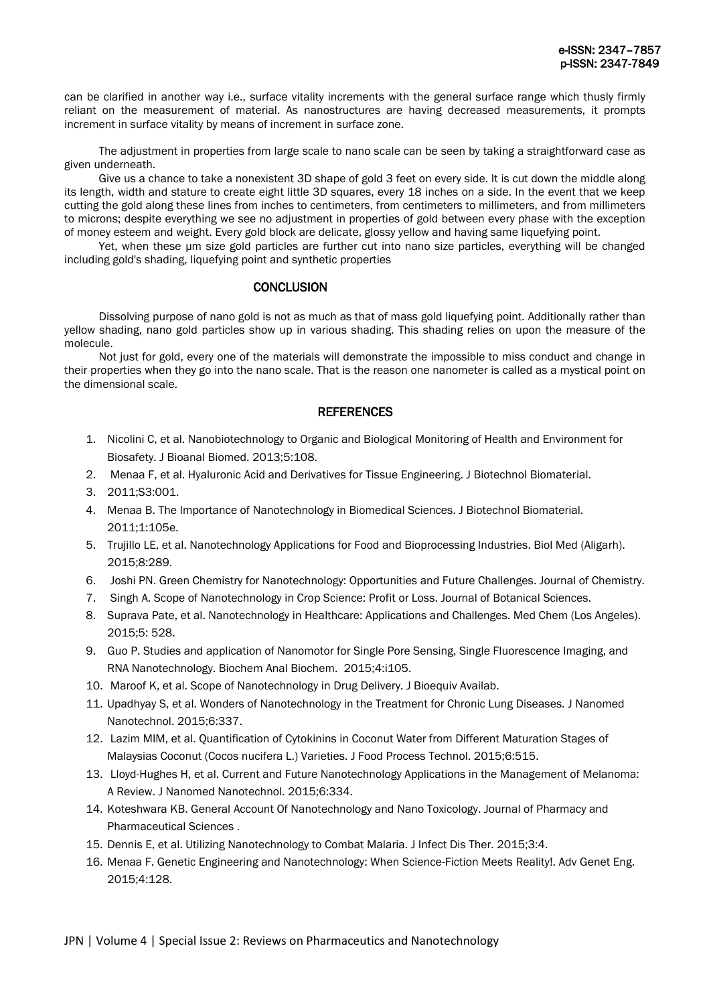can be clarified in another way i.e., surface vitality increments with the general surface range which thusly firmly reliant on the measurement of material. As nanostructures are having decreased measurements, it prompts increment in surface vitality by means of increment in surface zone.

The adjustment in properties from large scale to nano scale can be seen by taking a straightforward case as given underneath.

Give us a chance to take a nonexistent 3D shape of gold 3 feet on every side. It is cut down the middle along its length, width and stature to create eight little 3D squares, every 18 inches on a side. In the event that we keep cutting the gold along these lines from inches to centimeters, from centimeters to millimeters, and from millimeters to microns; despite everything we see no adjustment in properties of gold between every phase with the exception of money esteem and weight. Every gold block are delicate, glossy yellow and having same liquefying point.

Yet, when these µm size gold particles are further cut into nano size particles, everything will be changed including gold's shading, liquefying point and synthetic properties

# **CONCLUSION**

Dissolving purpose of nano gold is not as much as that of mass gold liquefying point. Additionally rather than yellow shading, nano gold particles show up in various shading. This shading relies on upon the measure of the molecule.

Not just for gold, every one of the materials will demonstrate the impossible to miss conduct and change in their properties when they go into the nano scale. That is the reason one nanometer is called as a mystical point on the dimensional scale.

# **REFERENCES**

- 1. Nicolini C, et al. Nanobiotechnology to Organic and Biological Monitoring of Health and Environment for Biosafety. J Bioanal Biomed. 2013;5:108.
- 2. Menaa F, et al. Hyaluronic Acid and Derivatives for Tissue Engineering. J Biotechnol Biomaterial.
- 3. 2011;S3:001.
- 4. Menaa B. The Importance of Nanotechnology in Biomedical Sciences. J Biotechnol Biomaterial. 2011;1:105e.
- 5. Trujillo LE, et al. Nanotechnology Applications for Food and Bioprocessing Industries. Biol Med (Aligarh). 2015;8:289.
- 6. Joshi PN. Green Chemistry for Nanotechnology: Opportunities and Future Challenges. Journal of Chemistry.
- 7. Singh A. Scope of Nanotechnology in Crop Science: Profit or Loss. Journal of Botanical Sciences.
- 8. Suprava Pate, et al. Nanotechnology in Healthcare: Applications and Challenges. Med Chem (Los Angeles). 2015;5: 528.
- 9. Guo P. Studies and application of Nanomotor for Single Pore Sensing, Single Fluorescence Imaging, and RNA Nanotechnology. Biochem Anal Biochem. 2015;4:i105.
- 10. Maroof K, et al. Scope of Nanotechnology in Drug Delivery. J Bioequiv Availab.
- 11. Upadhyay S, et al. Wonders of Nanotechnology in the Treatment for Chronic Lung Diseases. J Nanomed Nanotechnol. 2015;6:337.
- 12. Lazim MIM, et al. Quantification of Cytokinins in Coconut Water from Different Maturation Stages of Malaysias Coconut (Cocos nucifera L.) Varieties. J Food Process Technol. 2015;6:515.
- 13. Lloyd-Hughes H, et al. Current and Future Nanotechnology Applications in the Management of Melanoma: A Review. J Nanomed Nanotechnol. 2015;6:334.
- 14. Koteshwara KB. General Account Of Nanotechnology and Nano Toxicology. Journal of Pharmacy and Pharmaceutical Sciences .
- 15. Dennis E, et al. Utilizing Nanotechnology to Combat Malaria. J Infect Dis Ther. 2015;3:4.
- 16. Menaa F. Genetic Engineering and Nanotechnology: When Science-Fiction Meets Reality!. Adv Genet Eng. 2015;4:128.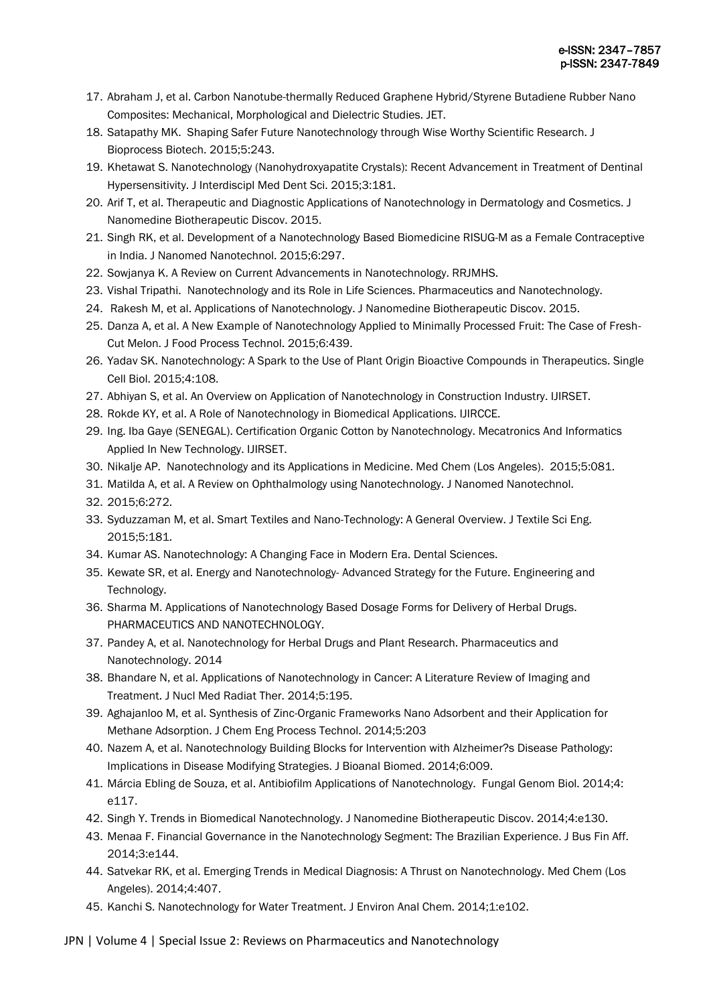- 17. Abraham J, et al. Carbon Nanotube-thermally Reduced Graphene Hybrid/Styrene Butadiene Rubber Nano Composites: Mechanical, Morphological and Dielectric Studies. JET.
- 18. Satapathy MK. Shaping Safer Future Nanotechnology through Wise Worthy Scientific Research. J Bioprocess Biotech. 2015;5:243.
- 19. Khetawat S. Nanotechnology (Nanohydroxyapatite Crystals): Recent Advancement in Treatment of Dentinal Hypersensitivity. J Interdiscipl Med Dent Sci. 2015;3:181.
- 20. Arif T, et al. Therapeutic and Diagnostic Applications of Nanotechnology in Dermatology and Cosmetics. J Nanomedine Biotherapeutic Discov. 2015.
- 21. Singh RK, et al. Development of a Nanotechnology Based Biomedicine RISUG-M as a Female Contraceptive in India. J Nanomed Nanotechnol. 2015;6:297.
- 22. Sowjanya K. A Review on Current Advancements in Nanotechnology. RRJMHS.
- 23. Vishal Tripathi. Nanotechnology and its Role in Life Sciences. Pharmaceutics and Nanotechnology.
- 24. Rakesh M, et al. Applications of Nanotechnology. J Nanomedine Biotherapeutic Discov. 2015.
- 25. Danza A, et al. A New Example of Nanotechnology Applied to Minimally Processed Fruit: The Case of Fresh-Cut Melon. J Food Process Technol. 2015;6:439.
- 26. Yadav SK. Nanotechnology: A Spark to the Use of Plant Origin Bioactive Compounds in Therapeutics. Single Cell Biol. 2015;4:108.
- 27. Abhiyan S, et al. An Overview on Application of Nanotechnology in Construction Industry. IJIRSET.
- 28. Rokde KY, et al. A Role of Nanotechnology in Biomedical Applications. IJIRCCE.
- 29. Ing. Iba Gaye (SENEGAL). Certification Organic Cotton by Nanotechnology. Mecatronics And Informatics Applied In New Technology. IJIRSET.
- 30. Nikalje AP. Nanotechnology and its Applications in Medicine. Med Chem (Los Angeles). 2015;5:081.
- 31. Matilda A, et al. A Review on Ophthalmology using Nanotechnology. J Nanomed Nanotechnol.
- 32. 2015;6:272.
- 33. Syduzzaman M, et al. Smart Textiles and Nano-Technology: A General Overview. J Textile Sci Eng. 2015;5:181.
- 34. Kumar AS. Nanotechnology: A Changing Face in Modern Era. Dental Sciences.
- 35. Kewate SR, et al. Energy and Nanotechnology- Advanced Strategy for the Future. Engineering and Technology.
- 36. Sharma M. Applications of Nanotechnology Based Dosage Forms for Delivery of Herbal Drugs. PHARMACEUTICS AND NANOTECHNOLOGY.
- 37. Pandey A, et al. Nanotechnology for Herbal Drugs and Plant Research. Pharmaceutics and Nanotechnology. 2014
- 38. Bhandare N, et al. Applications of Nanotechnology in Cancer: A Literature Review of Imaging and Treatment. J Nucl Med Radiat Ther. 2014;5:195.
- 39. Aghajanloo M, et al. Synthesis of Zinc-Organic Frameworks Nano Adsorbent and their Application for Methane Adsorption. J Chem Eng Process Technol. 2014;5:203
- 40. Nazem A, et al. Nanotechnology Building Blocks for Intervention with Alzheimer?s Disease Pathology: Implications in Disease Modifying Strategies. J Bioanal Biomed. 2014;6:009.
- 41. Márcia Ebling de Souza, et al. Antibiofilm Applications of Nanotechnology. Fungal Genom Biol. 2014;4: e117.
- 42. Singh Y. Trends in Biomedical Nanotechnology. J Nanomedine Biotherapeutic Discov. 2014;4:e130.
- 43. Menaa F. Financial Governance in the Nanotechnology Segment: The Brazilian Experience. J Bus Fin Aff. 2014;3:e144.
- 44. Satvekar RK, et al. Emerging Trends in Medical Diagnosis: A Thrust on Nanotechnology. Med Chem (Los Angeles). 2014;4:407.
- 45. Kanchi S. Nanotechnology for Water Treatment. J Environ Anal Chem. 2014;1:e102.

JPN | Volume 4 | Special Issue 2: Reviews on Pharmaceutics and Nanotechnology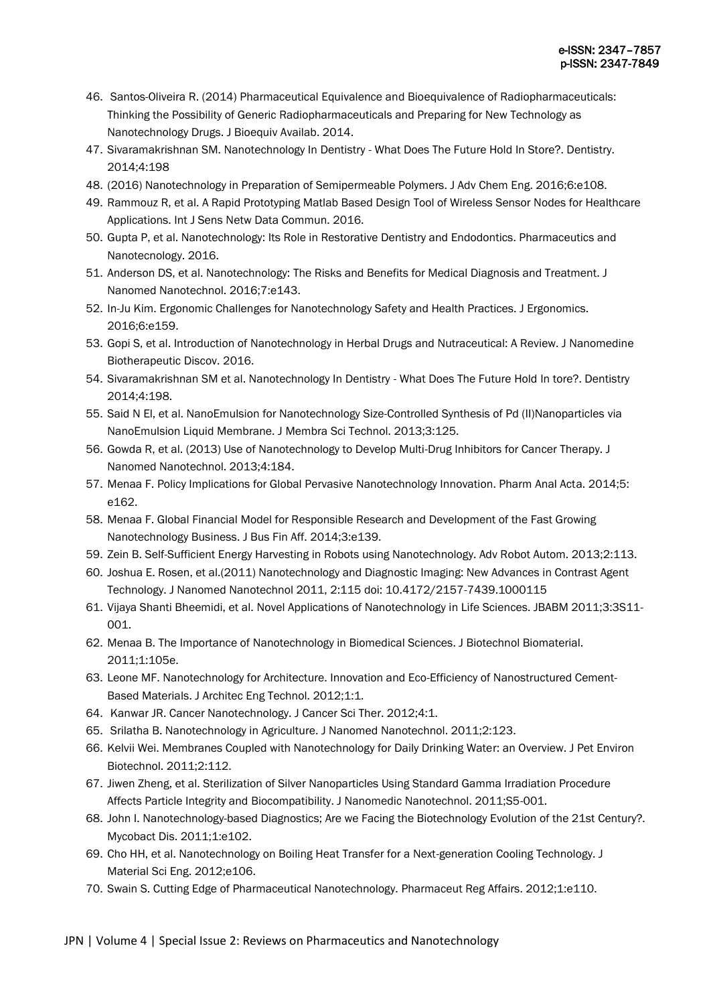- 46. Santos-Oliveira R. (2014) Pharmaceutical Equivalence and Bioequivalence of Radiopharmaceuticals: Thinking the Possibility of Generic Radiopharmaceuticals and Preparing for New Technology as Nanotechnology Drugs. J Bioequiv Availab. 2014.
- 47. Sivaramakrishnan SM. Nanotechnology In Dentistry What Does The Future Hold In Store?. Dentistry. 2014;4:198
- 48. (2016) Nanotechnology in Preparation of Semipermeable Polymers. J Adv Chem Eng. 2016;6:e108.
- 49. Rammouz R, et al. A Rapid Prototyping Matlab Based Design Tool of Wireless Sensor Nodes for Healthcare Applications. Int J Sens Netw Data Commun. 2016.
- 50. Gupta P, et al. Nanotechnology: Its Role in Restorative Dentistry and Endodontics. Pharmaceutics and Nanotecnology. 2016.
- 51. Anderson DS, et al. Nanotechnology: The Risks and Benefits for Medical Diagnosis and Treatment. J Nanomed Nanotechnol. 2016;7:e143.
- 52. In-Ju Kim. Ergonomic Challenges for Nanotechnology Safety and Health Practices. J Ergonomics. 2016;6:e159.
- 53. Gopi S, et al. Introduction of Nanotechnology in Herbal Drugs and Nutraceutical: A Review. J Nanomedine Biotherapeutic Discov. 2016.
- 54. Sivaramakrishnan SM et al. Nanotechnology In Dentistry What Does The Future Hold In tore?. Dentistry 2014;4:198.
- 55. Said N El, et al. NanoEmulsion for Nanotechnology Size-Controlled Synthesis of Pd (II)Nanoparticles via NanoEmulsion Liquid Membrane. J Membra Sci Technol. 2013;3:125.
- 56. Gowda R, et al. (2013) Use of Nanotechnology to Develop Multi-Drug Inhibitors for Cancer Therapy. J Nanomed Nanotechnol. 2013;4:184.
- 57. Menaa F. Policy Implications for Global Pervasive Nanotechnology Innovation. Pharm Anal Acta. 2014;5: e162.
- 58. Menaa F. Global Financial Model for Responsible Research and Development of the Fast Growing Nanotechnology Business. J Bus Fin Aff. 2014;3:e139.
- 59. Zein B. Self-Sufficient Energy Harvesting in Robots using Nanotechnology. Adv Robot Autom. 2013;2:113.
- 60. Joshua E. Rosen, et al.(2011) Nanotechnology and Diagnostic Imaging: New Advances in Contrast Agent Technology. J Nanomed Nanotechnol 2011, 2:115 doi: 10.4172/2157-7439.1000115
- 61. Vijaya Shanti Bheemidi, et al. Novel Applications of Nanotechnology in Life Sciences. JBABM 2011;3:3S11- 001.
- 62. Menaa B. The Importance of Nanotechnology in Biomedical Sciences. J Biotechnol Biomaterial. 2011;1:105e.
- 63. Leone MF. Nanotechnology for Architecture. Innovation and Eco-Efficiency of Nanostructured Cement-Based Materials. J Architec Eng Technol. 2012;1:1.
- 64. Kanwar JR. Cancer Nanotechnology. J Cancer Sci Ther. 2012;4:1.
- 65. Srilatha B. Nanotechnology in Agriculture. J Nanomed Nanotechnol. 2011;2:123.
- 66. Kelvii Wei. Membranes Coupled with Nanotechnology for Daily Drinking Water: an Overview. J Pet Environ Biotechnol. 2011;2:112.
- 67. Jiwen Zheng, et al. Sterilization of Silver Nanoparticles Using Standard Gamma Irradiation Procedure Affects Particle Integrity and Biocompatibility. J Nanomedic Nanotechnol. 2011;S5-001.
- 68. John I. Nanotechnology-based Diagnostics; Are we Facing the Biotechnology Evolution of the 21st Century?. Mycobact Dis. 2011;1:e102.
- 69. Cho HH, et al. Nanotechnology on Boiling Heat Transfer for a Next-generation Cooling Technology. J Material Sci Eng. 2012;e106.
- 70. Swain S. Cutting Edge of Pharmaceutical Nanotechnology. Pharmaceut Reg Affairs. 2012;1:e110.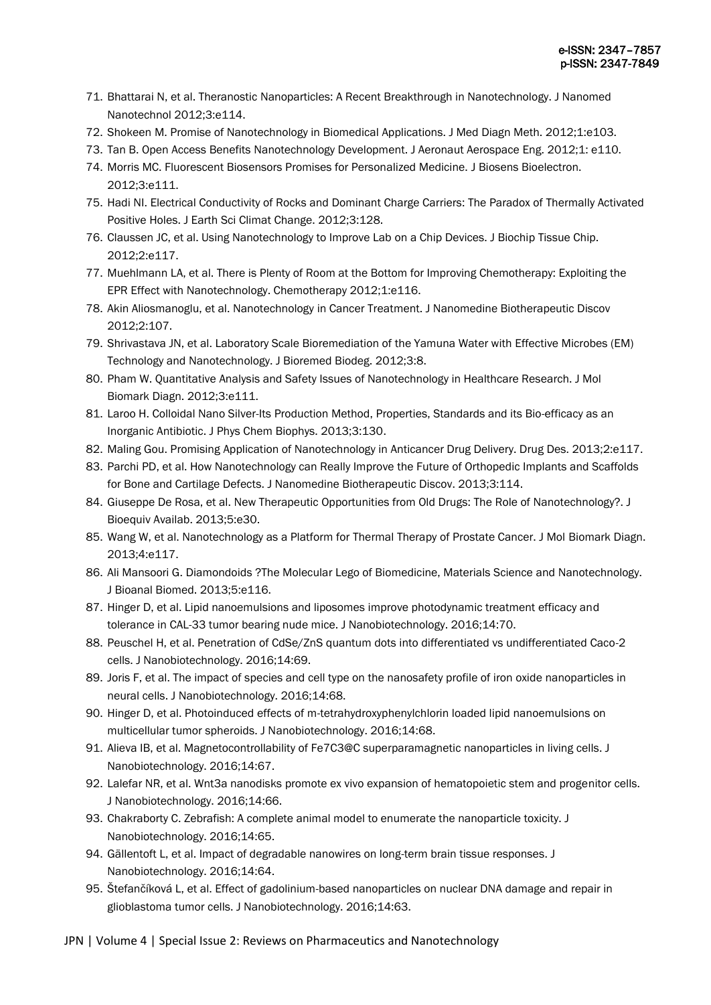- 71. Bhattarai N, et al. Theranostic Nanoparticles: A Recent Breakthrough in Nanotechnology. J Nanomed Nanotechnol 2012;3:e114.
- 72. Shokeen M. Promise of Nanotechnology in Biomedical Applications. J Med Diagn Meth. 2012;1:e103.
- 73. Tan B. Open Access Benefits Nanotechnology Development. J Aeronaut Aerospace Eng. 2012;1: e110.
- 74. Morris MC. Fluorescent Biosensors Promises for Personalized Medicine. J Biosens Bioelectron. 2012;3:e111.
- 75. Hadi NI. Electrical Conductivity of Rocks and Dominant Charge Carriers: The Paradox of Thermally Activated Positive Holes. J Earth Sci Climat Change. 2012;3:128.
- 76. Claussen JC, et al. Using Nanotechnology to Improve Lab on a Chip Devices. J Biochip Tissue Chip. 2012;2:e117.
- 77. Muehlmann LA, et al. There is Plenty of Room at the Bottom for Improving Chemotherapy: Exploiting the EPR Effect with Nanotechnology. Chemotherapy 2012;1:e116.
- 78. Akin Aliosmanoglu, et al. Nanotechnology in Cancer Treatment. J Nanomedine Biotherapeutic Discov 2012;2:107.
- 79. Shrivastava JN, et al. Laboratory Scale Bioremediation of the Yamuna Water with Effective Microbes (EM) Technology and Nanotechnology. J Bioremed Biodeg. 2012;3:8.
- 80. Pham W. Quantitative Analysis and Safety Issues of Nanotechnology in Healthcare Research. J Mol Biomark Diagn. 2012;3:e111.
- 81. Laroo H. Colloidal Nano Silver-Its Production Method, Properties, Standards and its Bio-efficacy as an Inorganic Antibiotic. J Phys Chem Biophys. 2013;3:130.
- 82. Maling Gou. Promising Application of Nanotechnology in Anticancer Drug Delivery. Drug Des. 2013;2:e117.
- 83. Parchi PD, et al. How Nanotechnology can Really Improve the Future of Orthopedic Implants and Scaffolds for Bone and Cartilage Defects. J Nanomedine Biotherapeutic Discov. 2013;3:114.
- 84. Giuseppe De Rosa, et al. New Therapeutic Opportunities from Old Drugs: The Role of Nanotechnology?. J Bioequiv Availab. 2013;5:e30.
- 85. Wang W, et al. Nanotechnology as a Platform for Thermal Therapy of Prostate Cancer. J Mol Biomark Diagn. 2013;4:e117.
- 86. Ali Mansoori G. Diamondoids ?The Molecular Lego of Biomedicine, Materials Science and Nanotechnology. J Bioanal Biomed. 2013;5:e116.
- 87. Hinger D, et al. Lipid nanoemulsions and liposomes improve photodynamic treatment efficacy and tolerance in CAL-33 tumor bearing nude mice. J Nanobiotechnology. 2016;14:70.
- 88. Peuschel H, et al. Penetration of CdSe/ZnS quantum dots into differentiated vs undifferentiated Caco-2 cells. J Nanobiotechnology. 2016;14:69.
- 89. Joris F, et al. The impact of species and cell type on the nanosafety profile of iron oxide nanoparticles in neural cells. J Nanobiotechnology. 2016;14:68.
- 90. Hinger D, et al. Photoinduced effects of m-tetrahydroxyphenylchlorin loaded lipid nanoemulsions on multicellular tumor spheroids. J Nanobiotechnology. 2016;14:68.
- 91. Alieva IB, et al. Magnetocontrollability of Fe7C3@C superparamagnetic nanoparticles in living cells. J Nanobiotechnology. 2016;14:67.
- 92. Lalefar NR, et al. Wnt3a nanodisks promote ex vivo expansion of hematopoietic stem and progenitor cells. J Nanobiotechnology. 2016;14:66.
- 93. Chakraborty C. Zebrafish: A complete animal model to enumerate the nanoparticle toxicity. J Nanobiotechnology. 2016;14:65.
- 94. Gällentoft L, et al. Impact of degradable nanowires on long-term brain tissue responses. J Nanobiotechnology. 2016;14:64.
- 95. Štefančíková L, et al. Effect of gadolinium-based nanoparticles on nuclear DNA damage and repair in glioblastoma tumor cells. J Nanobiotechnology. 2016;14:63.

JPN | Volume 4 | Special Issue 2: Reviews on Pharmaceutics and Nanotechnology